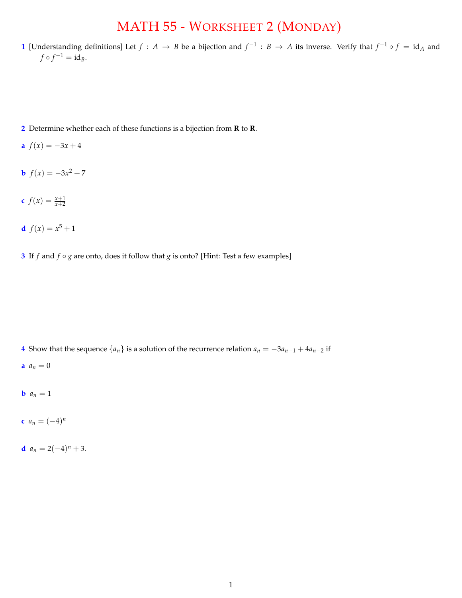## MATH 55 - WORKSHEET 2 (MONDAY)

**1** [Understanding definitions] Let  $f : A \to B$  be a bijection and  $f^{-1} : B \to A$  its inverse. Verify that  $f^{-1} \circ f = id_A$  and  $f \circ f^{-1} = id_B.$ 

- **2** Determine whether each of these functions is a bijection from **R** to **R**.
- **a**  $f(x) = -3x + 4$
- **b**  $f(x) = -3x^2 + 7$
- **c**  $f(x) = \frac{x+1}{x+2}$
- **d**  $f(x) = x^5 + 1$
- **3** If *f* and  $f \circ g$  are onto, does it follow that *g* is onto? [Hint: Test a few examples]

- **4** Show that the sequence  $\{a_n\}$  is a solution of the recurrence relation  $a_n = -3a_{n-1} + 4a_{n-2}$  if
- **a**  $a_n = 0$
- **b**  $a_n = 1$
- **c**  $a_n = (-4)^n$
- **d**  $a_n = 2(-4)^n + 3$ .